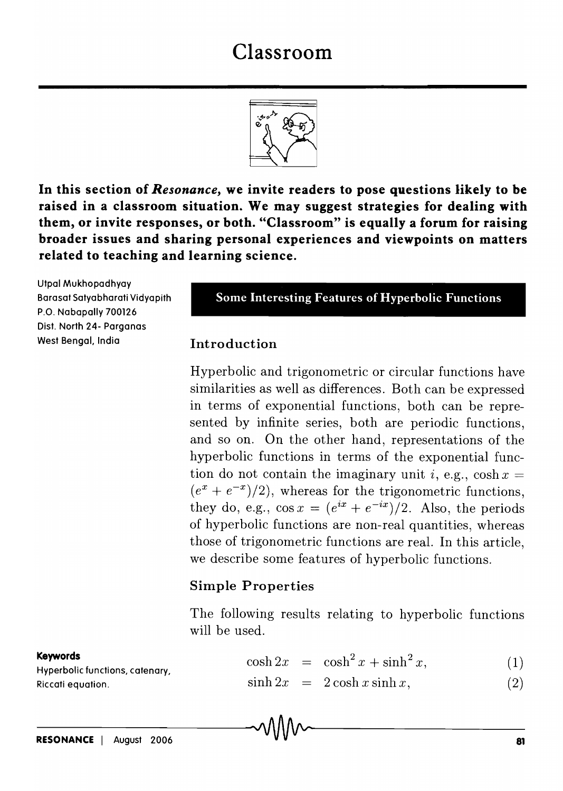# Classroom



In this section of *Resonance,* we invite readers to pose questions likely to be raised in a classroom situation. We may suggest strategies for dealing with them, or invite responses, or both. "Classroom" is equally a forum for raising broader issues and sharing personal experiences and viewpoints on matters related to teaching and learning science.

Utpal Mukhopadhyay Barasat Satyabharati Vidyapith P.O. Nabapally 700126 Dist. North 24- Parganas West Bengal. India

Some Interesting Features of Hyperbolic Functions

#### Introduction

Hyperbolic and trigonometric or circular functions have similarities as well as differences. Both can be expressed in terms of exponential functions, both can be represented by infinite series, both are periodic functions, and so on. On the other hand, representations of the hyperbolic functions in terms of the exponential function do not contain the imaginary unit *i*, e.g.,  $\cosh x =$  $(e^x + e^{-x})/2$ , whereas for the trigonometric functions, they do, e.g.,  $\cos x = (e^{ix} + e^{-ix})/2$ . Also, the periods of hyperbolic functions are non-real quantities, whereas those of trigonometric functions are real. In this article, we describe some features of hyperbolic functions.

## Simple Properties

The following results relating to hyperbolic functions will be used.

#### $\cosh 2x = \cosh^2 x + \sinh^2 x,$ (1)

 $\sinh 2x = 2 \cosh x \sinh x,$ (2)

#### Keywords

Hyperbolic functions. catenary. Riccati equation.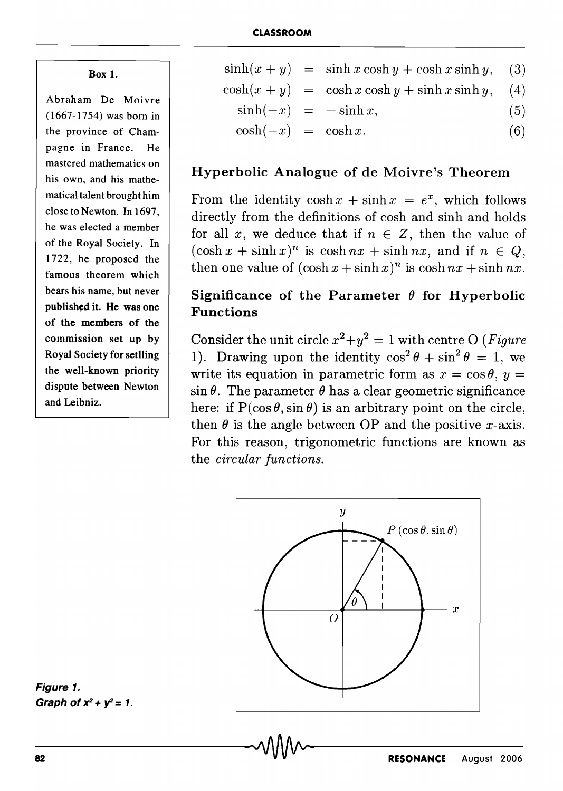Box 1.

Abraham De Moivre (1667-1754) was born in the province of Champagne in France. He mastered mathematics on his own, and his mathematical talent brought him close to Newton. In 1697, he was elected a member of the Royal Society. In 1722, he proposed the famous theorem which bears his name, but never published it. He was one of the members of the commission set up by Royal Society for setlling the well-known priority dispute between Newton and Leibniz.

|                          | $sinh(x + y) = sinh x cosh y + cosh x sinh y,$ (3) |     |
|--------------------------|----------------------------------------------------|-----|
|                          | $cosh(x + y) = cosh x cosh y + sinh x sinh y,$ (4) |     |
| $\sinh(-x) = -\sinh x$ , |                                                    | (5) |

 $cosh(-x) = cosh x.$  (6)

#### Hyperbolic Analogue of de Moivre's Theorem

From the identity  $\cosh x + \sinh x = e^x$ , which follows directly from the definitions of cosh and sinh and holds for all x, we deduce that if  $n \in \mathbb{Z}$ , then the value of  $(\cosh x + \sinh x)^n$  is  $\cosh nx + \sinh nx$ , and if  $n \in Q$ , then one value of  $(\cosh x + \sinh x)^n$  is  $\cosh nx + \sinh nx$ .

## Significance of the Parameter  $\theta$  for Hyperbolic Functions

Consider the unit circle  $x^2 + y^2 = 1$  with centre O *(Figure*) 1). Drawing upon the identity  $\cos^2 \theta + \sin^2 \theta = 1$ , we write its equation in parametric form as  $x = \cos \theta$ ,  $y =$  $\sin \theta$ . The parameter  $\theta$  has a clear geometric significance here: if  $P(\cos \theta, \sin \theta)$  is an arbitrary point on the circle, then  $\theta$  is the angle between OP and the positive x-axis. For this reason, trigonometric functions are known as the *circular functions.* 



Figure 1. Graph of  $x^2 + y^2 = 1$ .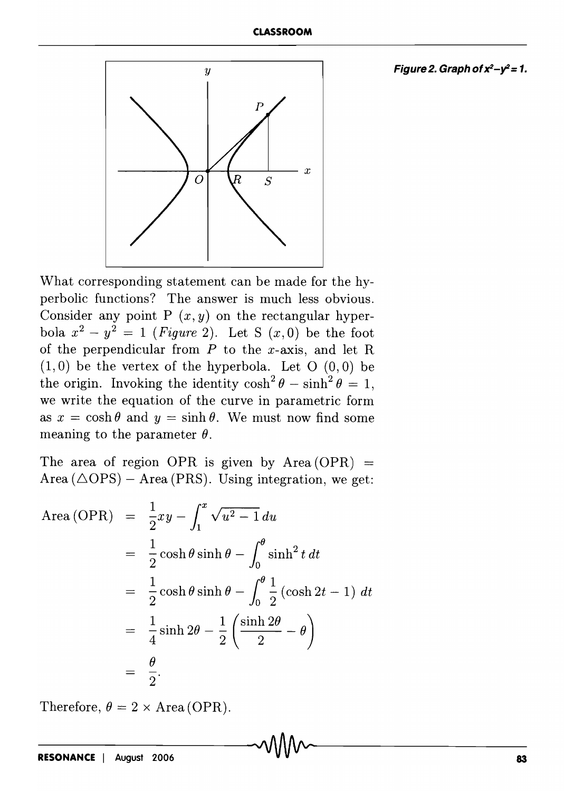#### Figure 2. Graph of  $x^2-y^2=1$ .



What corresponding statement can be made for the hyperbolic functions? The answer is much less obvious. Consider any point P  $(x, y)$  on the rectangular hyperbola  $x^2 - y^2 = 1$  *(Figure 2)*. Let S  $(x, 0)$  be the foot of the perpendicular from  $P$  to the x-axis, and let R  $(1,0)$  be the vertex of the hyperbola. Let O  $(0,0)$  be the origin. Invoking the identity  $\cosh^2 \theta - \sinh^2 \theta = 1$ , we write the equation of the curve in parametric form as  $x = \cosh \theta$  and  $y = \sinh \theta$ . We must now find some meaning to the parameter  $\theta$ .

The area of region OPR is given by  $Area (OPR) =$ Area  $(\triangle$ OPS) - Area (PRS). Using integration, we get:

Area (OPR) = 
$$
\frac{1}{2}xy - \int_1^x \sqrt{u^2 - 1} du
$$
  
\n=  $\frac{1}{2} \cosh \theta \sinh \theta - \int_0^{\theta} \sinh^2 t dt$   
\n=  $\frac{1}{2} \cosh \theta \sinh \theta - \int_0^{\theta} \frac{1}{2} (\cosh 2t - 1) dt$   
\n=  $\frac{1}{4} \sinh 2\theta - \frac{1}{2} \left( \frac{\sinh 2\theta}{2} - \theta \right)$   
\n=  $\frac{\theta}{2}$ .

Therefore,  $\theta = 2 \times \text{Area}$  (OPR).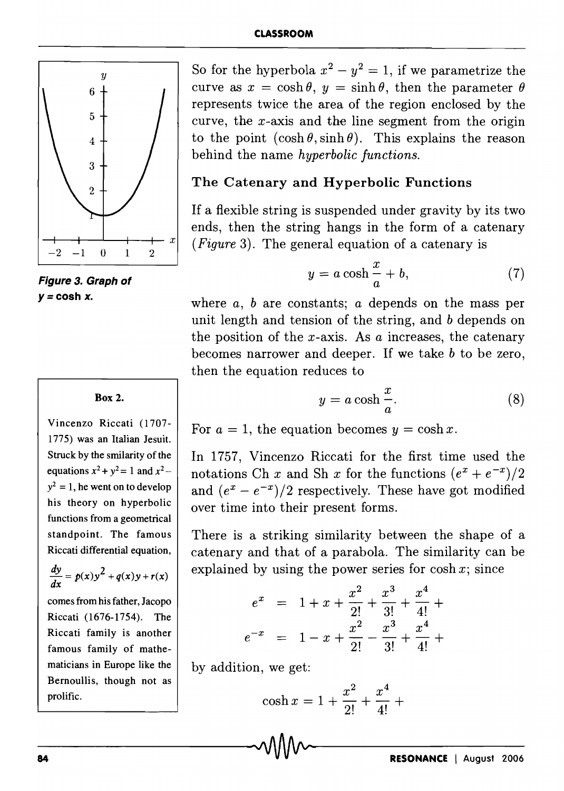

**Figure 3. Graph of**   $y = \cosh x$ .

#### Box 2.

Vincenzo Riccati (1707- 1775) was an Italian Jesuit. Struck by the smilarity of the equations  $x^2 + y^2 = 1$  and  $x^2$  –  $y^2 = 1$ , he went on to develop his theory on hyperbolic functions from a geometrical standpoint. The famous Riccati differential equation,

$$
\frac{dy}{dx} = p(x)y^2 + q(x)y + r(x)
$$

comes from his father, Jacopo Riccati (1676-1754). The Riccati family is another famous family of mathematicians in Europe like the Bernoullis, though not as prolific.

So for the hyperbola  $x^2 - y^2 = 1$ , if we parametrize the curve as  $x = \cosh \theta$ ,  $y = \sinh \theta$ , then the parameter  $\theta$ represents twice the area of the region enclosed by the curve, the  $x$ -axis and the line segment from the origin to the point  $(\cosh \theta, \sinh \theta)$ . This explains the reason behind the name *hyperbolic functions.* 

### The Catenary and Hyperbolic Functions

If a flexible string is suspended under gravity by its two ends, then the string hangs in the form of a catenary *(Figure* 3). The general equation of a catenary is

$$
y = a \cosh \frac{x}{a} + b,\tag{7}
$$

where *a, b* are constants; *a* depends on the mass per unit length and tension of the string, and *b* depends on the position of the x-axis. As *a* increases, the catenary becomes narrower and deeper. If we take *b* to be zero, then the equation reduces to

$$
y = a \cosh \frac{x}{a}.\tag{8}
$$

For  $a = 1$ , the equation becomes  $y = \cosh x$ .

In 1757, Vincenzo Riccati for the first time used the notations Ch *x* and Sh *x* for the functions  $(e^x + e^{-x})/2$ and  $(e^x - e^{-x})/2$  respectively. These have got modified over time into their present forms.

There is a striking similarity between the shape of a catenary and that of a parabola. The similarity can be explained by using the power series for  $\cosh x$ ; since

$$
e^{x} = 1 + x + \frac{x^{2}}{2!} + \frac{x^{3}}{3!} + \frac{x^{4}}{4!} +
$$
  

$$
e^{-x} = 1 - x + \frac{x^{2}}{2!} - \frac{x^{3}}{3!} + \frac{x^{4}}{4!} +
$$

by addition, we get:

$$
\cosh x = 1 + \frac{x^2}{2!} + \frac{x^4}{4!} + \cdots
$$